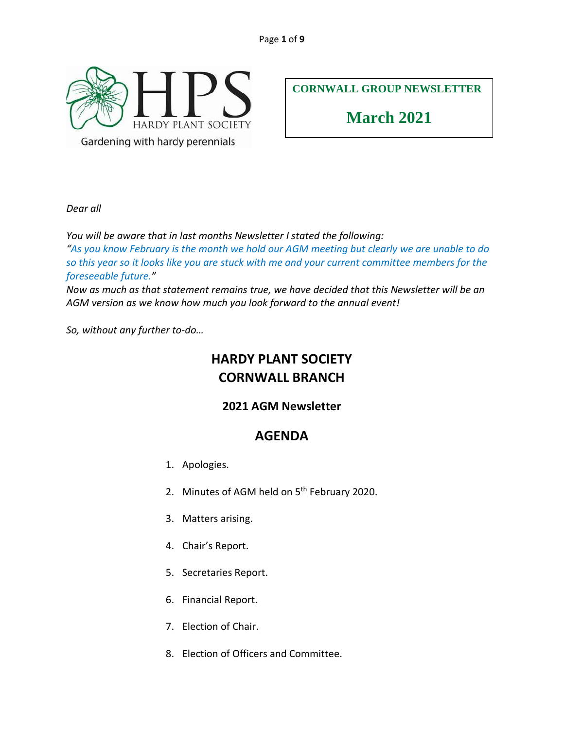

**CORNWALL GROUP NEWSLETTER**

**March 2021**

*Dear all*

*You will be aware that in last months Newsletter I stated the following:*

*"As you know February is the month we hold our AGM meeting but clearly we are unable to do so this year so it looks like you are stuck with me and your current committee members for the foreseeable future."*

*Now as much as that statement remains true, we have decided that this Newsletter will be an AGM version as we know how much you look forward to the annual event!*

*So, without any further to-do…*

# **HARDY PLANT SOCIETY CORNWALL BRANCH**

## **2021 AGM Newsletter**

## **AGENDA**

- 1. Apologies.
- 2. Minutes of AGM held on 5<sup>th</sup> February 2020.
- 3. Matters arising.
- 4. Chair's Report.
- 5. Secretaries Report.
- 6. Financial Report.
- 7. Election of Chair.
- 8. Election of Officers and Committee.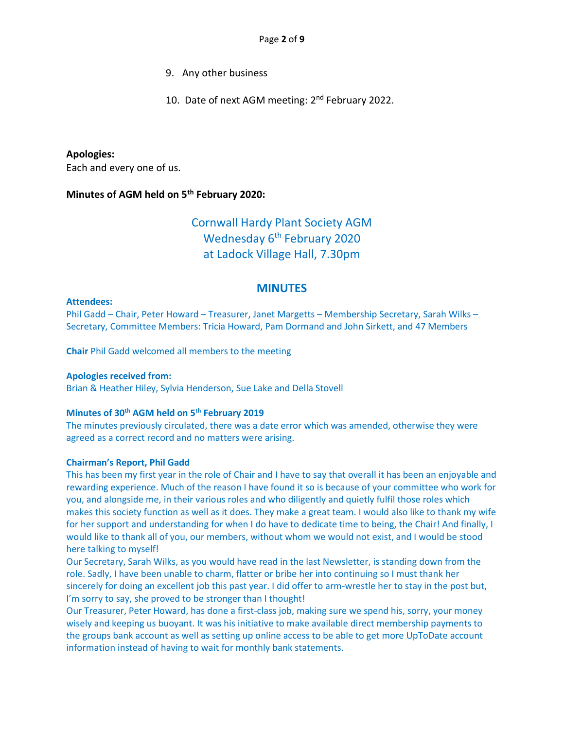- 9. Any other business
- 10. Date of next AGM meeting: 2<sup>nd</sup> February 2022.

#### **Apologies:**

Each and every one of us.

#### **Minutes of AGM held on 5th February 2020:**

## Cornwall Hardy Plant Society AGM Wednesday 6<sup>th</sup> February 2020 at Ladock Village Hall, 7.30pm

### **MINUTES**

#### **Attendees:**

Phil Gadd – Chair, Peter Howard – Treasurer, Janet Margetts – Membership Secretary, Sarah Wilks – Secretary, Committee Members: Tricia Howard, Pam Dormand and John Sirkett, and 47 Members

**Chair** Phil Gadd welcomed all members to the meeting

#### **Apologies received from:**

Brian & Heather Hiley, Sylvia Henderson, Sue Lake and Della Stovell

#### **Minutes of 30th AGM held on 5th February 2019**

The minutes previously circulated, there was a date error which was amended, otherwise they were agreed as a correct record and no matters were arising.

#### **Chairman's Report, Phil Gadd**

This has been my first year in the role of Chair and I have to say that overall it has been an enjoyable and rewarding experience. Much of the reason I have found it so is because of your committee who work for you, and alongside me, in their various roles and who diligently and quietly fulfil those roles which makes this society function as well as it does. They make a great team. I would also like to thank my wife for her support and understanding for when I do have to dedicate time to being, the Chair! And finally, I would like to thank all of you, our members, without whom we would not exist, and I would be stood here talking to myself!

Our Secretary, Sarah Wilks, as you would have read in the last Newsletter, is standing down from the role. Sadly, I have been unable to charm, flatter or bribe her into continuing so I must thank her sincerely for doing an excellent job this past year. I did offer to arm-wrestle her to stay in the post but, I'm sorry to say, she proved to be stronger than I thought!

Our Treasurer, Peter Howard, has done a first-class job, making sure we spend his, sorry, your money wisely and keeping us buoyant. It was his initiative to make available direct membership payments to the groups bank account as well as setting up online access to be able to get more UpToDate account information instead of having to wait for monthly bank statements.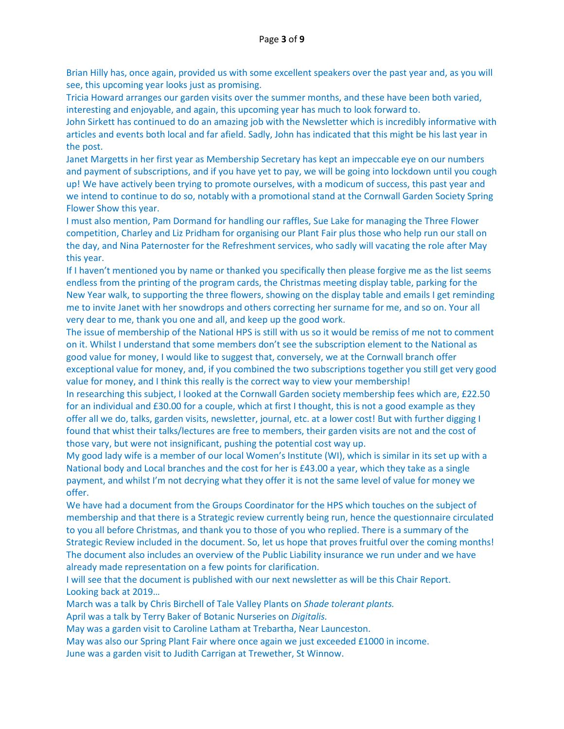Brian Hilly has, once again, provided us with some excellent speakers over the past year and, as you will see, this upcoming year looks just as promising.

Tricia Howard arranges our garden visits over the summer months, and these have been both varied, interesting and enjoyable, and again, this upcoming year has much to look forward to.

John Sirkett has continued to do an amazing job with the Newsletter which is incredibly informative with articles and events both local and far afield. Sadly, John has indicated that this might be his last year in the post.

Janet Margetts in her first year as Membership Secretary has kept an impeccable eye on our numbers and payment of subscriptions, and if you have yet to pay, we will be going into lockdown until you cough up! We have actively been trying to promote ourselves, with a modicum of success, this past year and we intend to continue to do so, notably with a promotional stand at the Cornwall Garden Society Spring Flower Show this year.

I must also mention, Pam Dormand for handling our raffles, Sue Lake for managing the Three Flower competition, Charley and Liz Pridham for organising our Plant Fair plus those who help run our stall on the day, and Nina Paternoster for the Refreshment services, who sadly will vacating the role after May this year.

If I haven't mentioned you by name or thanked you specifically then please forgive me as the list seems endless from the printing of the program cards, the Christmas meeting display table, parking for the New Year walk, to supporting the three flowers, showing on the display table and emails I get reminding me to invite Janet with her snowdrops and others correcting her surname for me, and so on. Your all very dear to me, thank you one and all, and keep up the good work.

The issue of membership of the National HPS is still with us so it would be remiss of me not to comment on it. Whilst I understand that some members don't see the subscription element to the National as good value for money, I would like to suggest that, conversely, we at the Cornwall branch offer exceptional value for money, and, if you combined the two subscriptions together you still get very good value for money, and I think this really is the correct way to view your membership!

In researching this subject, I looked at the Cornwall Garden society membership fees which are, £22.50 for an individual and £30.00 for a couple, which at first I thought, this is not a good example as they offer all we do, talks, garden visits, newsletter, journal, etc. at a lower cost! But with further digging I found that whist their talks/lectures are free to members, their garden visits are not and the cost of those vary, but were not insignificant, pushing the potential cost way up.

My good lady wife is a member of our local Women's Institute (WI), which is similar in its set up with a National body and Local branches and the cost for her is £43.00 a year, which they take as a single payment, and whilst I'm not decrying what they offer it is not the same level of value for money we offer.

We have had a document from the Groups Coordinator for the HPS which touches on the subject of membership and that there is a Strategic review currently being run, hence the questionnaire circulated to you all before Christmas, and thank you to those of you who replied. There is a summary of the Strategic Review included in the document. So, let us hope that proves fruitful over the coming months! The document also includes an overview of the Public Liability insurance we run under and we have already made representation on a few points for clarification.

I will see that the document is published with our next newsletter as will be this Chair Report. Looking back at 2019…

March was a talk by Chris Birchell of Tale Valley Plants on *Shade tolerant plants.* April was a talk by Terry Baker of Botanic Nurseries on *Digitalis.*

May was a garden visit to Caroline Latham at Trebartha, Near Launceston.

May was also our Spring Plant Fair where once again we just exceeded £1000 in income. June was a garden visit to Judith Carrigan at Trewether, St Winnow.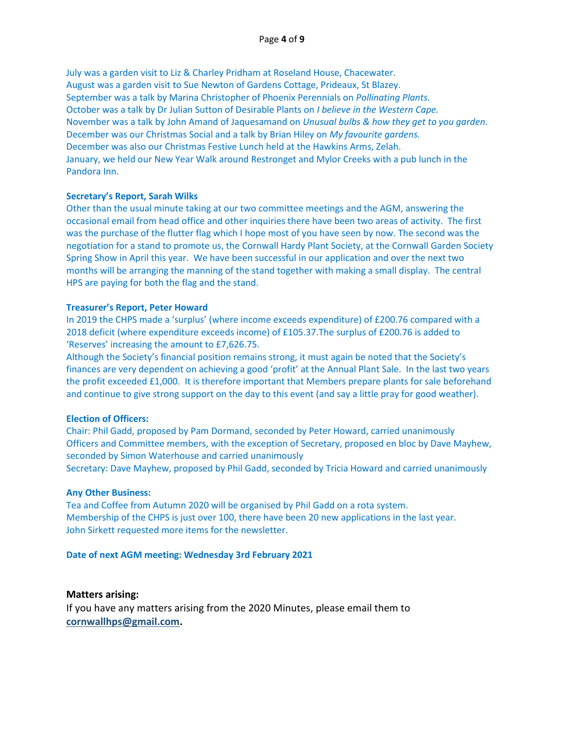July was a garden visit to Liz & Charley Pridham at Roseland House, Chacewater. August was a garden visit to Sue Newton of Gardens Cottage, Prideaux, St Blazey. September was a talk by Marina Christopher of Phoenix Perennials on *Pollinating Plants.* October was a talk by Dr Julian Sutton of Desirable Plants on *I believe in the Western Cape.* November was a talk by John Amand of Jaquesamand on *Unusual bulbs & how they get to you garden.* December was our Christmas Social and a talk by Brian Hiley on *My favourite gardens.* December was also our Christmas Festive Lunch held at the Hawkins Arms, Zelah. January, we held our New Year Walk around Restronget and Mylor Creeks with a pub lunch in the Pandora Inn.

#### **Secretary's Report, Sarah Wilks**

Other than the usual minute taking at our two committee meetings and the AGM, answering the occasional email from head office and other inquiries there have been two areas of activity. The first was the purchase of the flutter flag which I hope most of you have seen by now. The second was the negotiation for a stand to promote us, the Cornwall Hardy Plant Society, at the Cornwall Garden Society Spring Show in April this year. We have been successful in our application and over the next two months will be arranging the manning of the stand together with making a small display. The central HPS are paying for both the flag and the stand.

#### **Treasurer's Report, Peter Howard**

In 2019 the CHPS made a 'surplus' (where income exceeds expenditure) of £200.76 compared with a 2018 deficit (where expenditure exceeds income) of £105.37.The surplus of £200.76 is added to 'Reserves' increasing the amount to £7,626.75.

Although the Society's financial position remains strong, it must again be noted that the Society's finances are very dependent on achieving a good 'profit' at the Annual Plant Sale. In the last two years the profit exceeded £1,000. It is therefore important that Members prepare plants for sale beforehand and continue to give strong support on the day to this event (and say a little pray for good weather).

#### **Election of Officers:**

Chair: Phil Gadd, proposed by Pam Dormand, seconded by Peter Howard, carried unanimously Officers and Committee members, with the exception of Secretary, proposed en bloc by Dave Mayhew, seconded by Simon Waterhouse and carried unanimously

Secretary: Dave Mayhew, proposed by Phil Gadd, seconded by Tricia Howard and carried unanimously

#### **Any Other Business:**

Tea and Coffee from Autumn 2020 will be organised by Phil Gadd on a rota system. Membership of the CHPS is just over 100, there have been 20 new applications in the last year. John Sirkett requested more items for the newsletter.

#### **Date of next AGM meeting: Wednesday 3rd February 2021**

#### **Matters arising:**

If you have any matters arising from the 2020 Minutes, please email them to **[cornwallhps@gmail.com.](mailto:cornwallhps@gmail.com)**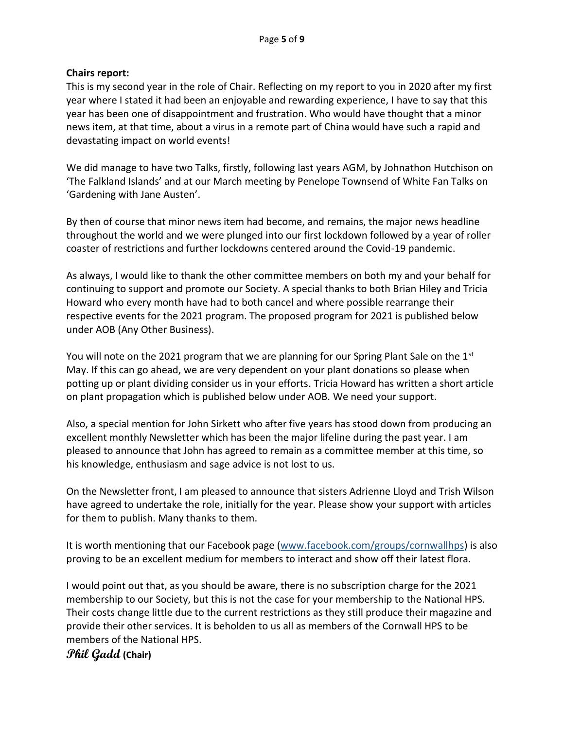## **Chairs report:**

This is my second year in the role of Chair. Reflecting on my report to you in 2020 after my first year where I stated it had been an enjoyable and rewarding experience, I have to say that this year has been one of disappointment and frustration. Who would have thought that a minor news item, at that time, about a virus in a remote part of China would have such a rapid and devastating impact on world events!

We did manage to have two Talks, firstly, following last years AGM, by Johnathon Hutchison on 'The Falkland Islands' and at our March meeting by Penelope Townsend of White Fan Talks on 'Gardening with Jane Austen'.

By then of course that minor news item had become, and remains, the major news headline throughout the world and we were plunged into our first lockdown followed by a year of roller coaster of restrictions and further lockdowns centered around the Covid-19 pandemic.

As always, I would like to thank the other committee members on both my and your behalf for continuing to support and promote our Society. A special thanks to both Brian Hiley and Tricia Howard who every month have had to both cancel and where possible rearrange their respective events for the 2021 program. The proposed program for 2021 is published below under AOB (Any Other Business).

You will note on the 2021 program that we are planning for our Spring Plant Sale on the  $1<sup>st</sup>$ May. If this can go ahead, we are very dependent on your plant donations so please when potting up or plant dividing consider us in your efforts. Tricia Howard has written a short article on plant propagation which is published below under AOB. We need your support.

Also, a special mention for John Sirkett who after five years has stood down from producing an excellent monthly Newsletter which has been the major lifeline during the past year. I am pleased to announce that John has agreed to remain as a committee member at this time, so his knowledge, enthusiasm and sage advice is not lost to us.

On the Newsletter front, I am pleased to announce that sisters Adrienne Lloyd and Trish Wilson have agreed to undertake the role, initially for the year. Please show your support with articles for them to publish. Many thanks to them.

It is worth mentioning that our Facebook page [\(www.facebook.com/groups/cornwallhps\)](http://www.facebook.com/groups/cornwallhps) is also proving to be an excellent medium for members to interact and show off their latest flora.

I would point out that, as you should be aware, there is no subscription charge for the 2021 membership to our Society, but this is not the case for your membership to the National HPS. Their costs change little due to the current restrictions as they still produce their magazine and provide their other services. It is beholden to us all as members of the Cornwall HPS to be members of the National HPS.

## **Phil Gadd (Chair)**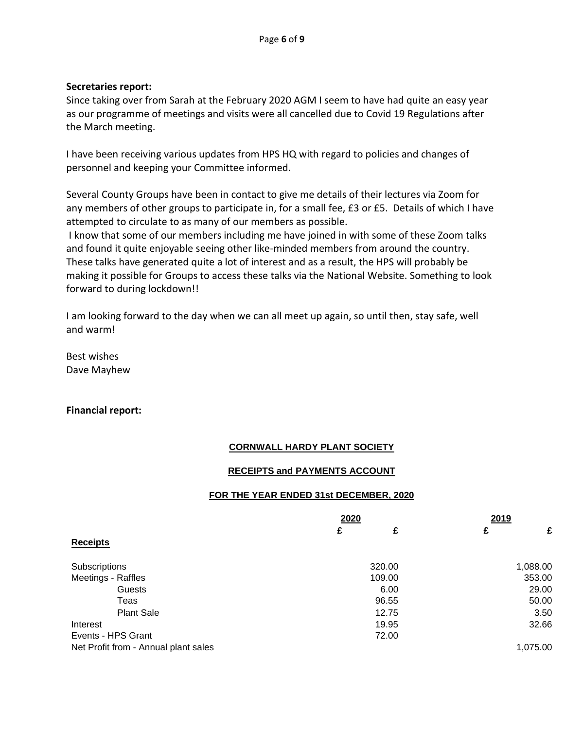## **Secretaries report:**

Since taking over from Sarah at the February 2020 AGM I seem to have had quite an easy year as our programme of meetings and visits were all cancelled due to Covid 19 Regulations after the March meeting.

I have been receiving various updates from HPS HQ with regard to policies and changes of personnel and keeping your Committee informed.

Several County Groups have been in contact to give me details of their lectures via Zoom for any members of other groups to participate in, for a small fee, £3 or £5. Details of which I have attempted to circulate to as many of our members as possible.

I know that some of our members including me have joined in with some of these Zoom talks and found it quite enjoyable seeing other like-minded members from around the country. These talks have generated quite a lot of interest and as a result, the HPS will probably be making it possible for Groups to access these talks via the National Website. Something to look forward to during lockdown!!

I am looking forward to the day when we can all meet up again, so until then, stay safe, well and warm!

Best wishes Dave Mayhew

## **Financial report:**

## **CORNWALL HARDY PLANT SOCIETY**

## **RECEIPTS and PAYMENTS ACCOUNT**

## **FOR THE YEAR ENDED 31st DECEMBER, 2020**

|                                      | 2020   | 2019     |  |
|--------------------------------------|--------|----------|--|
|                                      | £<br>£ | £<br>£   |  |
| <b>Receipts</b>                      |        |          |  |
| Subscriptions                        | 320.00 | 1,088.00 |  |
| Meetings - Raffles                   | 109.00 | 353.00   |  |
| Guests                               | 6.00   | 29.00    |  |
| Teas                                 | 96.55  | 50.00    |  |
| <b>Plant Sale</b>                    | 12.75  | 3.50     |  |
| Interest                             | 19.95  | 32.66    |  |
| Events - HPS Grant                   | 72.00  |          |  |
| Net Profit from - Annual plant sales |        | 1,075.00 |  |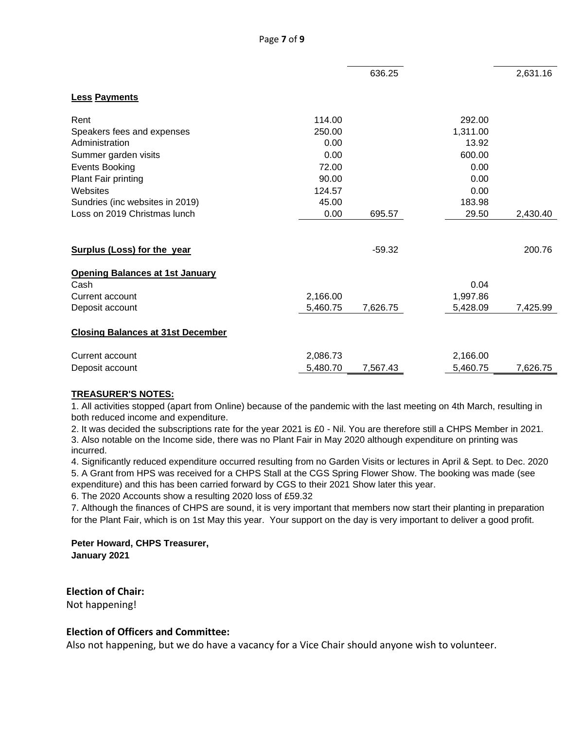|                                          |          | 636.25   |          | 2,631.16 |
|------------------------------------------|----------|----------|----------|----------|
| <b>Less Payments</b>                     |          |          |          |          |
| Rent                                     | 114.00   |          | 292.00   |          |
| Speakers fees and expenses               | 250.00   |          | 1,311.00 |          |
| Administration                           | 0.00     |          | 13.92    |          |
| Summer garden visits                     | 0.00     |          | 600.00   |          |
| <b>Events Booking</b>                    | 72.00    |          | 0.00     |          |
| Plant Fair printing                      | 90.00    |          | 0.00     |          |
| Websites                                 | 124.57   |          | 0.00     |          |
| Sundries (inc websites in 2019)          | 45.00    |          | 183.98   |          |
| Loss on 2019 Christmas lunch             | 0.00     | 695.57   | 29.50    | 2,430.40 |
|                                          |          |          |          |          |
| <b>Surplus (Loss) for the year</b>       |          | $-59.32$ |          | 200.76   |
| <b>Opening Balances at 1st January</b>   |          |          |          |          |
| Cash                                     |          |          | 0.04     |          |
| Current account                          | 2,166.00 |          | 1,997.86 |          |
| Deposit account                          | 5,460.75 | 7,626.75 | 5,428.09 | 7,425.99 |
| <b>Closing Balances at 31st December</b> |          |          |          |          |
| Current account                          | 2,086.73 |          | 2,166.00 |          |
| Deposit account                          | 5,480.70 | 7,567.43 | 5,460.75 | 7,626.75 |

#### **TREASURER'S NOTES:**

1. All activities stopped (apart from Online) because of the pandemic with the last meeting on 4th March, resulting in both reduced income and expenditure.

2. It was decided the subscriptions rate for the year 2021 is £0 - Nil. You are therefore still a CHPS Member in 2021. 3. Also notable on the Income side, there was no Plant Fair in May 2020 although expenditure on printing was incurred.

4. Significantly reduced expenditure occurred resulting from no Garden Visits or lectures in April & Sept. to Dec. 2020 5. A Grant from HPS was received for a CHPS Stall at the CGS Spring Flower Show. The booking was made (see

expenditure) and this has been carried forward by CGS to their 2021 Show later this year.

6. The 2020 Accounts show a resulting 2020 loss of £59.32

7. Although the finances of CHPS are sound, it is very important that members now start their planting in preparation for the Plant Fair, which is on 1st May this year. Your support on the day is very important to deliver a good profit.

**Peter Howard, CHPS Treasurer, January 2021**

**Election of Chair:** Not happening!

## **Election of Officers and Committee:**

Also not happening, but we do have a vacancy for a Vice Chair should anyone wish to volunteer.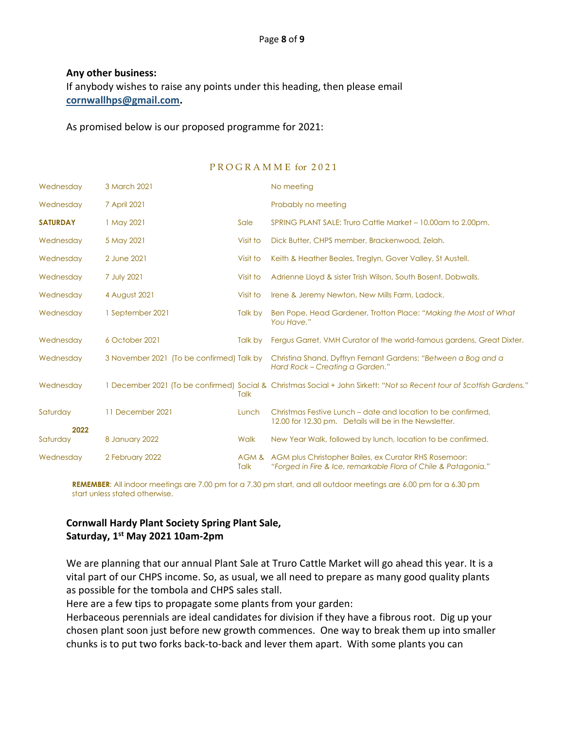### **Any other business:**

If anybody wishes to raise any points under this heading, then please email **[cornwallhps@gmail.com.](mailto:cornwallhps@gmail.com)**

As promised below is our proposed programme for 2021:

#### P R O G R A M M E for 2021

| Wednesday       | 3 March 2021                              |               | No meeting                                                                                                              |
|-----------------|-------------------------------------------|---------------|-------------------------------------------------------------------------------------------------------------------------|
| Wednesday       | 7 April 2021                              |               | Probably no meeting                                                                                                     |
| <b>SATURDAY</b> | 1 May 2021                                | Sale          | SPRING PLANT SALE: Truro Cattle Market - 10.00am to 2.00pm.                                                             |
| Wednesday       | 5 May 2021                                | Visit to      | Dick Butter, CHPS member, Brackenwood, Zelah.                                                                           |
| Wednesday       | 2 June 2021                               | Visit to      | Keith & Heather Beales, Treglyn, Gover Valley, St Austell.                                                              |
| Wednesday       | 7 July 2021                               | Visit to      | Adrienne Lloyd & sister Trish Wilson, South Bosent, Dobwalls.                                                           |
| Wednesday       | 4 August 2021                             | Visit to      | Irene & Jeremy Newton, New Mills Farm, Ladock.                                                                          |
| Wednesday       | 1 September 2021                          | Talk by       | Ben Pope, Head Gardener, Trotton Place: "Making the Most of What<br>You Have."                                          |
| Wednesday       | 6 October 2021                            | Talk by       | Fergus Garret, VMH Curator of the world-famous gardens, Great Dixter.                                                   |
| Wednesday       | 3 November 2021 (To be confirmed) Talk by |               | Christina Shand, Dyffryn Fernant Gardens: "Between a Bog and a<br>Hard Rock – Creating a Garden."                       |
| Wednesday       |                                           | Talk          | 1 December 2021 (To be confirmed) Social & Christmas Social + John Sirkett: "Not so Recent tour of Scottish Gardens."   |
| Saturday        | 11 December 2021                          | Lunch         | Christmas Festive Lunch – date and location to be confirmed.<br>12.00 for 12.30 pm. Details will be in the Newsletter.  |
| 2022            |                                           |               |                                                                                                                         |
| Saturday        | 8 January 2022                            | Walk          | New Year Walk, followed by lunch, location to be confirmed.                                                             |
| Wednesday       | 2 February 2022                           | AGM &<br>Talk | AGM plus Christopher Bailes, ex Curator RHS Rosemoor:<br>"Forged in Fire & Ice, remarkable Flora of Chile & Patagonia." |

**REMEMBER**: All indoor meetings are 7.00 pm for a 7.30 pm start, and all outdoor meetings are 6.00 pm for a 6.30 pm start unless stated otherwise.

## **Cornwall Hardy Plant Society Spring Plant Sale, Saturday, 1 st May 2021 10am-2pm**

We are planning that our annual Plant Sale at Truro Cattle Market will go ahead this year. It is a vital part of our CHPS income. So, as usual, we all need to prepare as many good quality plants as possible for the tombola and CHPS sales stall.

Here are a few tips to propagate some plants from your garden:

Herbaceous perennials are ideal candidates for division if they have a fibrous root. Dig up your chosen plant soon just before new growth commences. One way to break them up into smaller chunks is to put two forks back-to-back and lever them apart. With some plants you can